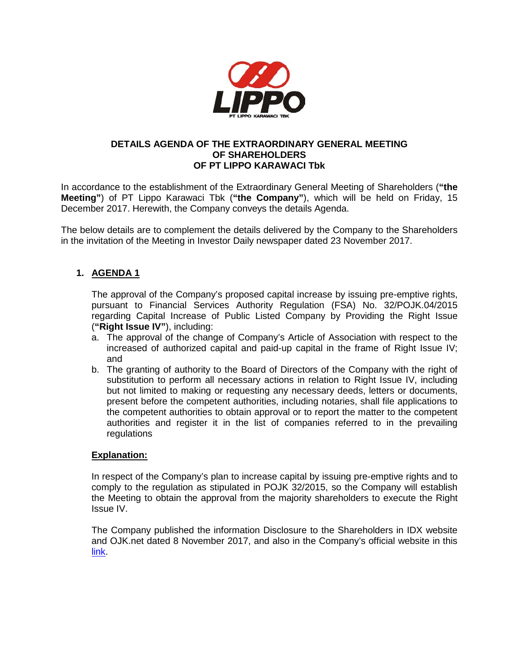

### **DETAILS AGENDA OF THE EXTRAORDINARY GENERAL MEETING OF SHAREHOLDERS OF PT LIPPO KARAWACI Tbk**

In accordance to the establishment of the Extraordinary General Meeting of Shareholders (**"the Meeting"**) of PT Lippo Karawaci Tbk (**"the Company"**), which will be held on Friday, 15 December 2017. Herewith, the Company conveys the details Agenda.

The below details are to complement the details delivered by the Company to the Shareholders in the invitation of the Meeting in Investor Daily newspaper dated 23 November 2017.

# **1. AGENDA 1**

The approval of the Company's proposed capital increase by issuing pre-emptive rights, pursuant to Financial Services Authority Regulation (FSA) No. 32/POJK.04/2015 regarding Capital Increase of Public Listed Company by Providing the Right Issue (**"Right Issue IV"**), including:

- a. The approval of the change of Company's Article of Association with respect to the increased of authorized capital and paid-up capital in the frame of Right Issue IV; and
- b. The granting of authority to the Board of Directors of the Company with the right of substitution to perform all necessary actions in relation to Right Issue IV, including but not limited to making or requesting any necessary deeds, letters or documents, present before the competent authorities, including notaries, shall file applications to the competent authorities to obtain approval or to report the matter to the competent authorities and register it in the list of companies referred to in the prevailing regulations

## **Explanation:**

In respect of the Company's plan to increase capital by issuing pre-emptive rights and to comply to the regulation as stipulated in POJK 32/2015, so the Company will establish the Meeting to obtain the approval from the majority shareholders to execute the Right Issue IV.

The Company published the information Disclosure to the Shareholders in IDX website and OJK.net dated 8 November 2017, and also in the Company's official website in this [link.](http://www.lippokarawaci.co.id/investor-center/disclosure-information)